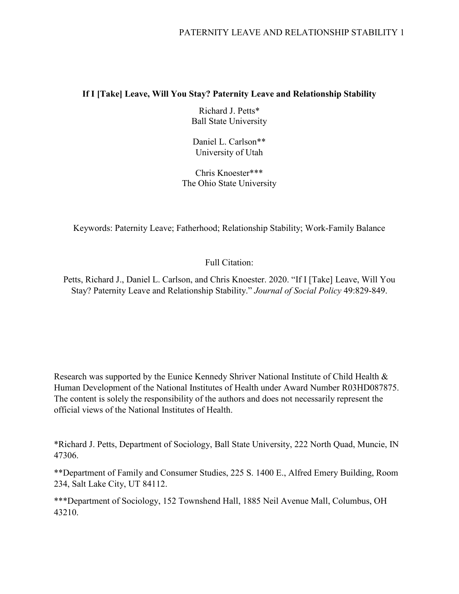# PATERNITY LEAVE AND RELATIONSHIP STABILITY 1

## **If I [Take] Leave, Will You Stay? Paternity Leave and Relationship Stability**

Richard J. Petts\* Ball State University

Daniel L. Carlson\*\* University of Utah

Chris Knoester\*\*\* The Ohio State University

Keywords: Paternity Leave; Fatherhood; Relationship Stability; Work-Family Balance

# Full Citation:

Petts, Richard J., Daniel L. Carlson, and Chris Knoester. 2020. "If I [Take] Leave, Will You Stay? Paternity Leave and Relationship Stability." *Journal of Social Policy* 49:829-849.

Research was supported by the Eunice Kennedy Shriver National Institute of Child Health & Human Development of the National Institutes of Health under Award Number R03HD087875. The content is solely the responsibility of the authors and does not necessarily represent the official views of the National Institutes of Health.

\*Richard J. Petts, Department of Sociology, Ball State University, 222 North Quad, Muncie, IN 47306.

\*\*Department of Family and Consumer Studies, 225 S. 1400 E., Alfred Emery Building, Room 234, Salt Lake City, UT 84112.

\*\*\*Department of Sociology, 152 Townshend Hall, 1885 Neil Avenue Mall, Columbus, OH 43210.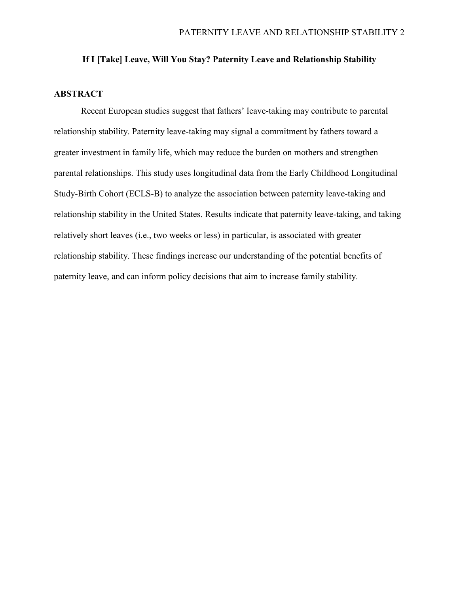## **If I [Take] Leave, Will You Stay? Paternity Leave and Relationship Stability**

## **ABSTRACT**

Recent European studies suggest that fathers' leave-taking may contribute to parental relationship stability. Paternity leave-taking may signal a commitment by fathers toward a greater investment in family life, which may reduce the burden on mothers and strengthen parental relationships. This study uses longitudinal data from the Early Childhood Longitudinal Study-Birth Cohort (ECLS-B) to analyze the association between paternity leave-taking and relationship stability in the United States. Results indicate that paternity leave-taking, and taking relatively short leaves (i.e., two weeks or less) in particular, is associated with greater relationship stability. These findings increase our understanding of the potential benefits of paternity leave, and can inform policy decisions that aim to increase family stability.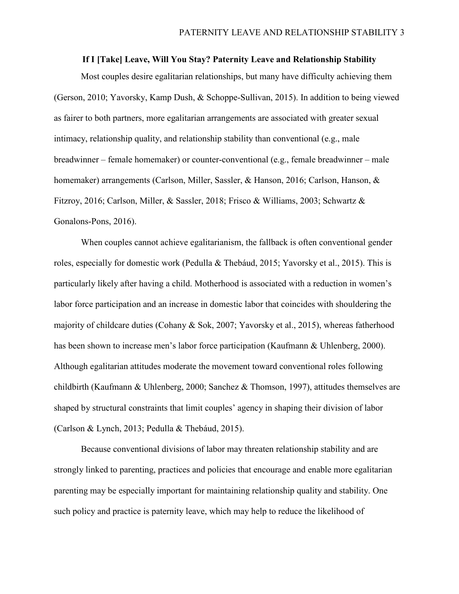## **If I [Take] Leave, Will You Stay? Paternity Leave and Relationship Stability**

Most couples desire egalitarian relationships, but many have difficulty achieving them (Gerson, 2010; Yavorsky, Kamp Dush, & Schoppe-Sullivan, 2015). In addition to being viewed as fairer to both partners, more egalitarian arrangements are associated with greater sexual intimacy, relationship quality, and relationship stability than conventional (e.g., male breadwinner – female homemaker) or counter-conventional (e.g., female breadwinner – male homemaker) arrangements (Carlson, Miller, Sassler, & Hanson, 2016; Carlson, Hanson, & Fitzroy, 2016; Carlson, Miller, & Sassler, 2018; Frisco & Williams, 2003; Schwartz & Gonalons-Pons, 2016).

When couples cannot achieve egalitarianism, the fallback is often conventional gender roles, especially for domestic work (Pedulla & Thebáud, 2015; Yavorsky et al., 2015). This is particularly likely after having a child. Motherhood is associated with a reduction in women's labor force participation and an increase in domestic labor that coincides with shouldering the majority of childcare duties (Cohany & Sok, 2007; Yavorsky et al., 2015), whereas fatherhood has been shown to increase men's labor force participation (Kaufmann & Uhlenberg, 2000). Although egalitarian attitudes moderate the movement toward conventional roles following childbirth (Kaufmann & Uhlenberg, 2000; Sanchez & Thomson, 1997), attitudes themselves are shaped by structural constraints that limit couples' agency in shaping their division of labor (Carlson & Lynch, 2013; Pedulla & Thebáud, 2015).

Because conventional divisions of labor may threaten relationship stability and are strongly linked to parenting, practices and policies that encourage and enable more egalitarian parenting may be especially important for maintaining relationship quality and stability. One such policy and practice is paternity leave, which may help to reduce the likelihood of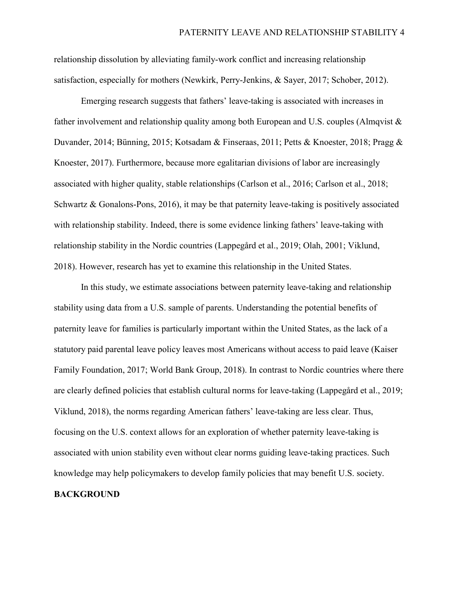relationship dissolution by alleviating family-work conflict and increasing relationship satisfaction, especially for mothers (Newkirk, Perry-Jenkins, & Sayer, 2017; Schober, 2012).

Emerging research suggests that fathers' leave-taking is associated with increases in father involvement and relationship quality among both European and U.S. couples (Almqvist & Duvander, 2014; Bünning, 2015; Kotsadam & Finseraas, 2011; Petts & Knoester, 2018; Pragg & Knoester, 2017). Furthermore, because more egalitarian divisions of labor are increasingly associated with higher quality, stable relationships (Carlson et al., 2016; Carlson et al., 2018; Schwartz & Gonalons-Pons, 2016), it may be that paternity leave-taking is positively associated with relationship stability. Indeed, there is some evidence linking fathers' leave-taking with relationship stability in the Nordic countries (Lappegård et al., 2019; Olah, 2001; Viklund, 2018). However, research has yet to examine this relationship in the United States.

In this study, we estimate associations between paternity leave-taking and relationship stability using data from a U.S. sample of parents. Understanding the potential benefits of paternity leave for families is particularly important within the United States, as the lack of a statutory paid parental leave policy leaves most Americans without access to paid leave (Kaiser Family Foundation, 2017; World Bank Group, 2018). In contrast to Nordic countries where there are clearly defined policies that establish cultural norms for leave-taking (Lappegård et al., 2019; Viklund, 2018), the norms regarding American fathers' leave-taking are less clear. Thus, focusing on the U.S. context allows for an exploration of whether paternity leave-taking is associated with union stability even without clear norms guiding leave-taking practices. Such knowledge may help policymakers to develop family policies that may benefit U.S. society.

# **BACKGROUND**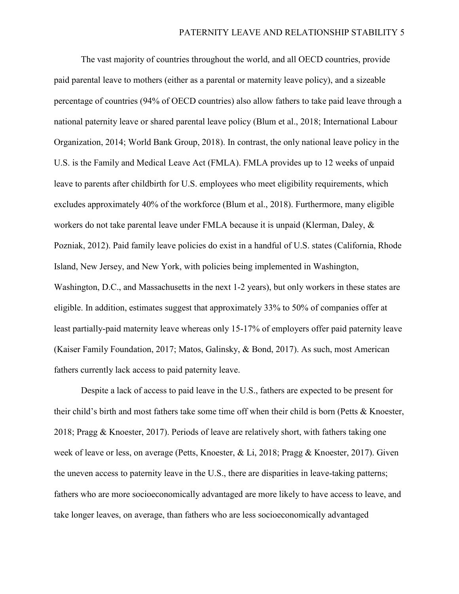The vast majority of countries throughout the world, and all OECD countries, provide paid parental leave to mothers (either as a parental or maternity leave policy), and a sizeable percentage of countries (94% of OECD countries) also allow fathers to take paid leave through a national paternity leave or shared parental leave policy (Blum et al., 2018; International Labour Organization, 2014; World Bank Group, 2018). In contrast, the only national leave policy in the U.S. is the Family and Medical Leave Act (FMLA). FMLA provides up to 12 weeks of unpaid leave to parents after childbirth for U.S. employees who meet eligibility requirements, which excludes approximately 40% of the workforce (Blum et al., 2018). Furthermore, many eligible workers do not take parental leave under FMLA because it is unpaid (Klerman, Daley, & Pozniak, 2012). Paid family leave policies do exist in a handful of U.S. states (California, Rhode Island, New Jersey, and New York, with policies being implemented in Washington, Washington, D.C., and Massachusetts in the next 1-2 years), but only workers in these states are eligible. In addition, estimates suggest that approximately 33% to 50% of companies offer at least partially-paid maternity leave whereas only 15-17% of employers offer paid paternity leave (Kaiser Family Foundation, 2017; Matos, Galinsky, & Bond, 2017). As such, most American fathers currently lack access to paid paternity leave.

Despite a lack of access to paid leave in the U.S., fathers are expected to be present for their child's birth and most fathers take some time off when their child is born (Petts & Knoester, 2018; Pragg & Knoester, 2017). Periods of leave are relatively short, with fathers taking one week of leave or less, on average (Petts, Knoester, & Li, 2018; Pragg & Knoester, 2017). Given the uneven access to paternity leave in the U.S., there are disparities in leave-taking patterns; fathers who are more socioeconomically advantaged are more likely to have access to leave, and take longer leaves, on average, than fathers who are less socioeconomically advantaged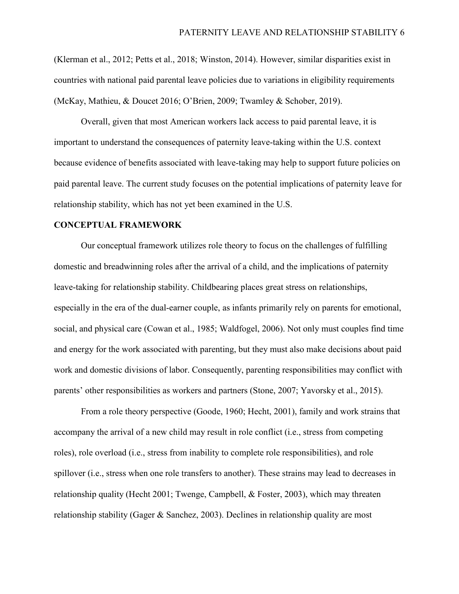(Klerman et al., 2012; Petts et al., 2018; Winston, 2014). However, similar disparities exist in countries with national paid parental leave policies due to variations in eligibility requirements (McKay, Mathieu, & Doucet 2016; O'Brien, 2009; Twamley & Schober, 2019).

Overall, given that most American workers lack access to paid parental leave, it is important to understand the consequences of paternity leave-taking within the U.S. context because evidence of benefits associated with leave-taking may help to support future policies on paid parental leave. The current study focuses on the potential implications of paternity leave for relationship stability, which has not yet been examined in the U.S.

#### **CONCEPTUAL FRAMEWORK**

Our conceptual framework utilizes role theory to focus on the challenges of fulfilling domestic and breadwinning roles after the arrival of a child, and the implications of paternity leave-taking for relationship stability. Childbearing places great stress on relationships, especially in the era of the dual-earner couple, as infants primarily rely on parents for emotional, social, and physical care (Cowan et al., 1985; Waldfogel, 2006). Not only must couples find time and energy for the work associated with parenting, but they must also make decisions about paid work and domestic divisions of labor. Consequently, parenting responsibilities may conflict with parents' other responsibilities as workers and partners (Stone, 2007; Yavorsky et al., 2015).

From a role theory perspective (Goode, 1960; Hecht, 2001), family and work strains that accompany the arrival of a new child may result in role conflict (i.e., stress from competing roles), role overload (i.e., stress from inability to complete role responsibilities), and role spillover (i.e., stress when one role transfers to another). These strains may lead to decreases in relationship quality (Hecht 2001; Twenge, Campbell, & Foster, 2003), which may threaten relationship stability (Gager & Sanchez, 2003). Declines in relationship quality are most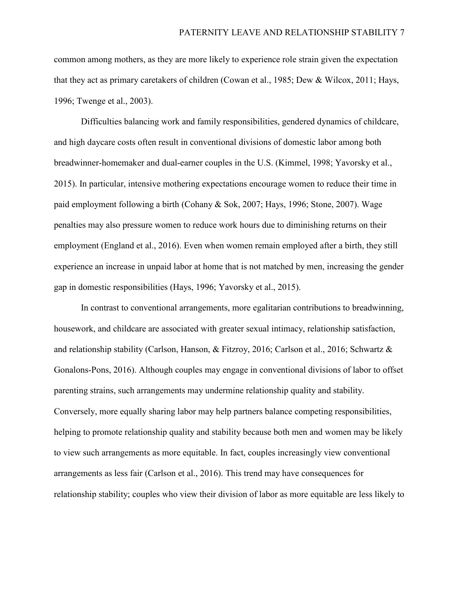common among mothers, as they are more likely to experience role strain given the expectation that they act as primary caretakers of children (Cowan et al., 1985; Dew & Wilcox, 2011; Hays, 1996; Twenge et al., 2003).

Difficulties balancing work and family responsibilities, gendered dynamics of childcare, and high daycare costs often result in conventional divisions of domestic labor among both breadwinner-homemaker and dual-earner couples in the U.S. (Kimmel, 1998; Yavorsky et al., 2015). In particular, intensive mothering expectations encourage women to reduce their time in paid employment following a birth (Cohany & Sok, 2007; Hays, 1996; Stone, 2007). Wage penalties may also pressure women to reduce work hours due to diminishing returns on their employment (England et al., 2016). Even when women remain employed after a birth, they still experience an increase in unpaid labor at home that is not matched by men, increasing the gender gap in domestic responsibilities (Hays, 1996; Yavorsky et al., 2015).

In contrast to conventional arrangements, more egalitarian contributions to breadwinning, housework, and childcare are associated with greater sexual intimacy, relationship satisfaction, and relationship stability (Carlson, Hanson, & Fitzroy, 2016; Carlson et al., 2016; Schwartz & Gonalons-Pons, 2016). Although couples may engage in conventional divisions of labor to offset parenting strains, such arrangements may undermine relationship quality and stability. Conversely, more equally sharing labor may help partners balance competing responsibilities, helping to promote relationship quality and stability because both men and women may be likely to view such arrangements as more equitable. In fact, couples increasingly view conventional arrangements as less fair (Carlson et al., 2016). This trend may have consequences for relationship stability; couples who view their division of labor as more equitable are less likely to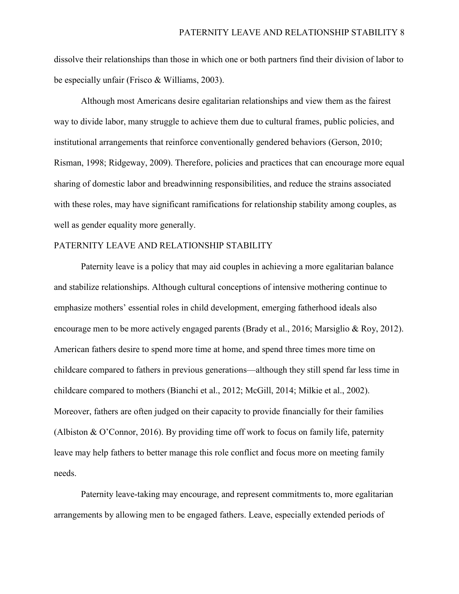dissolve their relationships than those in which one or both partners find their division of labor to be especially unfair (Frisco & Williams, 2003).

Although most Americans desire egalitarian relationships and view them as the fairest way to divide labor, many struggle to achieve them due to cultural frames, public policies, and institutional arrangements that reinforce conventionally gendered behaviors (Gerson, 2010; Risman, 1998; Ridgeway, 2009). Therefore, policies and practices that can encourage more equal sharing of domestic labor and breadwinning responsibilities, and reduce the strains associated with these roles, may have significant ramifications for relationship stability among couples, as well as gender equality more generally.

## PATERNITY LEAVE AND RELATIONSHIP STABILITY

Paternity leave is a policy that may aid couples in achieving a more egalitarian balance and stabilize relationships. Although cultural conceptions of intensive mothering continue to emphasize mothers' essential roles in child development, emerging fatherhood ideals also encourage men to be more actively engaged parents (Brady et al., 2016; Marsiglio & Roy, 2012). American fathers desire to spend more time at home, and spend three times more time on childcare compared to fathers in previous generations—although they still spend far less time in childcare compared to mothers (Bianchi et al., 2012; McGill, 2014; Milkie et al., 2002). Moreover, fathers are often judged on their capacity to provide financially for their families (Albiston & O'Connor, 2016). By providing time off work to focus on family life, paternity leave may help fathers to better manage this role conflict and focus more on meeting family needs.

Paternity leave-taking may encourage, and represent commitments to, more egalitarian arrangements by allowing men to be engaged fathers. Leave, especially extended periods of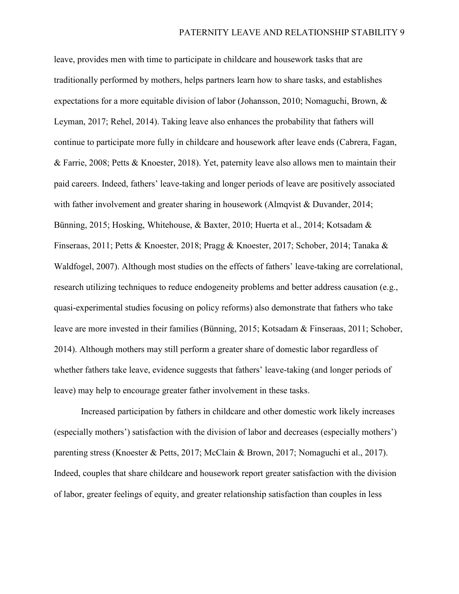leave, provides men with time to participate in childcare and housework tasks that are traditionally performed by mothers, helps partners learn how to share tasks, and establishes expectations for a more equitable division of labor (Johansson, 2010; Nomaguchi, Brown, & Leyman, 2017; Rehel, 2014). Taking leave also enhances the probability that fathers will continue to participate more fully in childcare and housework after leave ends (Cabrera, Fagan, & Farrie, 2008; Petts & Knoester, 2018). Yet, paternity leave also allows men to maintain their paid careers. Indeed, fathers' leave-taking and longer periods of leave are positively associated with father involvement and greater sharing in housework (Almqvist & Duvander, 2014; Bünning, 2015; Hosking, Whitehouse, & Baxter, 2010; Huerta et al., 2014; Kotsadam & Finseraas, 2011; Petts & Knoester, 2018; Pragg & Knoester, 2017; Schober, 2014; Tanaka & Waldfogel, 2007). Although most studies on the effects of fathers' leave-taking are correlational, research utilizing techniques to reduce endogeneity problems and better address causation (e.g., quasi-experimental studies focusing on policy reforms) also demonstrate that fathers who take leave are more invested in their families (Bünning, 2015; Kotsadam & Finseraas, 2011; Schober, 2014). Although mothers may still perform a greater share of domestic labor regardless of whether fathers take leave, evidence suggests that fathers' leave-taking (and longer periods of leave) may help to encourage greater father involvement in these tasks.

Increased participation by fathers in childcare and other domestic work likely increases (especially mothers') satisfaction with the division of labor and decreases (especially mothers') parenting stress (Knoester & Petts, 2017; McClain & Brown, 2017; Nomaguchi et al., 2017). Indeed, couples that share childcare and housework report greater satisfaction with the division of labor, greater feelings of equity, and greater relationship satisfaction than couples in less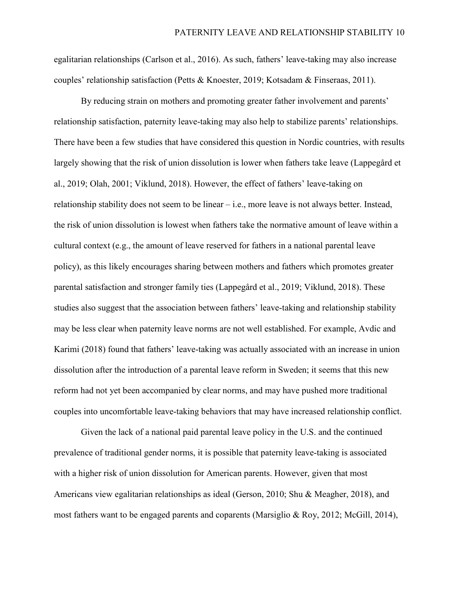egalitarian relationships (Carlson et al., 2016). As such, fathers' leave-taking may also increase couples' relationship satisfaction (Petts & Knoester, 2019; Kotsadam & Finseraas, 2011).

By reducing strain on mothers and promoting greater father involvement and parents' relationship satisfaction, paternity leave-taking may also help to stabilize parents' relationships. There have been a few studies that have considered this question in Nordic countries, with results largely showing that the risk of union dissolution is lower when fathers take leave (Lappegård et al., 2019; Olah, 2001; Viklund, 2018). However, the effect of fathers' leave-taking on relationship stability does not seem to be linear – i.e., more leave is not always better. Instead, the risk of union dissolution is lowest when fathers take the normative amount of leave within a cultural context (e.g., the amount of leave reserved for fathers in a national parental leave policy), as this likely encourages sharing between mothers and fathers which promotes greater parental satisfaction and stronger family ties (Lappegård et al., 2019; Viklund, 2018). These studies also suggest that the association between fathers' leave-taking and relationship stability may be less clear when paternity leave norms are not well established. For example, Avdic and Karimi (2018) found that fathers' leave-taking was actually associated with an increase in union dissolution after the introduction of a parental leave reform in Sweden; it seems that this new reform had not yet been accompanied by clear norms, and may have pushed more traditional couples into uncomfortable leave-taking behaviors that may have increased relationship conflict.

Given the lack of a national paid parental leave policy in the U.S. and the continued prevalence of traditional gender norms, it is possible that paternity leave-taking is associated with a higher risk of union dissolution for American parents. However, given that most Americans view egalitarian relationships as ideal (Gerson, 2010; Shu & Meagher, 2018), and most fathers want to be engaged parents and coparents (Marsiglio & Roy, 2012; McGill, 2014),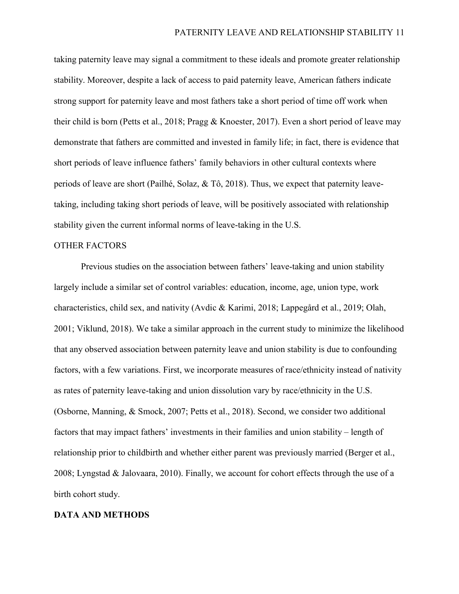taking paternity leave may signal a commitment to these ideals and promote greater relationship stability. Moreover, despite a lack of access to paid paternity leave, American fathers indicate strong support for paternity leave and most fathers take a short period of time off work when their child is born (Petts et al., 2018; Pragg & Knoester, 2017). Even a short period of leave may demonstrate that fathers are committed and invested in family life; in fact, there is evidence that short periods of leave influence fathers' family behaviors in other cultural contexts where periods of leave are short (Pailhé, Solaz, & Tô, 2018). Thus, we expect that paternity leavetaking, including taking short periods of leave, will be positively associated with relationship stability given the current informal norms of leave-taking in the U.S.

### OTHER FACTORS

Previous studies on the association between fathers' leave-taking and union stability largely include a similar set of control variables: education, income, age, union type, work characteristics, child sex, and nativity (Avdic & Karimi, 2018; Lappegård et al., 2019; Olah, 2001; Viklund, 2018). We take a similar approach in the current study to minimize the likelihood that any observed association between paternity leave and union stability is due to confounding factors, with a few variations. First, we incorporate measures of race/ethnicity instead of nativity as rates of paternity leave-taking and union dissolution vary by race/ethnicity in the U.S. (Osborne, Manning, & Smock, 2007; Petts et al., 2018). Second, we consider two additional factors that may impact fathers' investments in their families and union stability – length of relationship prior to childbirth and whether either parent was previously married (Berger et al., 2008; Lyngstad & Jalovaara, 2010). Finally, we account for cohort effects through the use of a birth cohort study.

#### **DATA AND METHODS**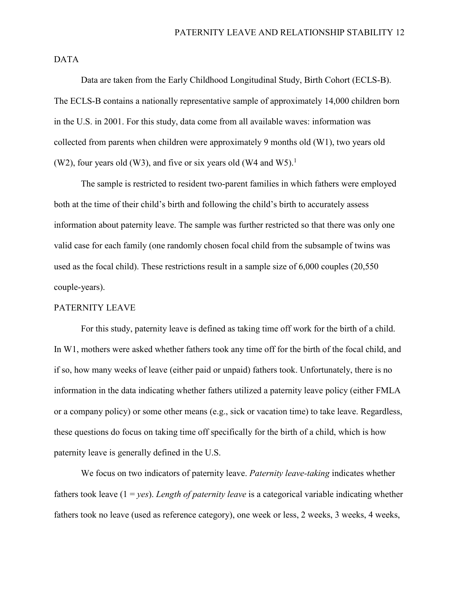DATA

Data are taken from the Early Childhood Longitudinal Study, Birth Cohort (ECLS-B). The ECLS-B contains a nationally representative sample of approximately 14,000 children born in the U.S. in 2001. For this study, data come from all available waves: information was collected from parents when children were approximately 9 months old (W1), two years old (W2), four years old (W3), and five or six years old (W4 and W5).<sup>1</sup>

The sample is restricted to resident two-parent families in which fathers were employed both at the time of their child's birth and following the child's birth to accurately assess information about paternity leave. The sample was further restricted so that there was only one valid case for each family (one randomly chosen focal child from the subsample of twins was used as the focal child). These restrictions result in a sample size of 6,000 couples (20,550 couple-years).

### PATERNITY LEAVE

For this study, paternity leave is defined as taking time off work for the birth of a child. In W1, mothers were asked whether fathers took any time off for the birth of the focal child, and if so, how many weeks of leave (either paid or unpaid) fathers took. Unfortunately, there is no information in the data indicating whether fathers utilized a paternity leave policy (either FMLA or a company policy) or some other means (e.g., sick or vacation time) to take leave. Regardless, these questions do focus on taking time off specifically for the birth of a child, which is how paternity leave is generally defined in the U.S.

We focus on two indicators of paternity leave. *Paternity leave-taking* indicates whether fathers took leave (1 = *yes*). *Length of paternity leave* is a categorical variable indicating whether fathers took no leave (used as reference category), one week or less, 2 weeks, 3 weeks, 4 weeks,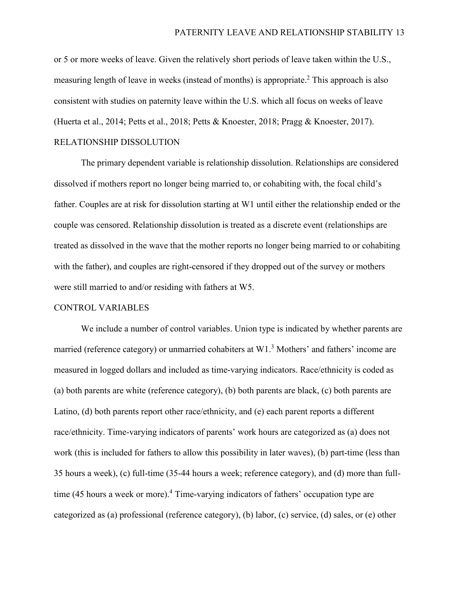or 5 or more weeks of leave. Given the relatively short periods of leave taken within the U.S., measuring length of leave in weeks (instead of months) is appropriate.<sup>2</sup> This approach is also consistent with studies on paternity leave within the U.S. which all focus on weeks of leave (Huerta et al., 2014; Petts et al., 2018; Petts & Knoester, 2018; Pragg & Knoester, 2017). RELATIONSHIP DISSOLUTION

The primary dependent variable is relationship dissolution. Relationships are considered dissolved if mothers report no longer being married to, or cohabiting with, the focal child's father. Couples are at risk for dissolution starting at W1 until either the relationship ended or the couple was censored. Relationship dissolution is treated as a discrete event (relationships are treated as dissolved in the wave that the mother reports no longer being married to or cohabiting with the father), and couples are right-censored if they dropped out of the survey or mothers were still married to and/or residing with fathers at W5.

### CONTROL VARIABLES

We include a number of control variables. Union type is indicated by whether parents are married (reference category) or unmarried cohabiters at W1.<sup>3</sup> Mothers' and fathers' income are measured in logged dollars and included as time-varying indicators. Race/ethnicity is coded as (a) both parents are white (reference category), (b) both parents are black, (c) both parents are Latino, (d) both parents report other race/ethnicity, and (e) each parent reports a different race/ethnicity. Time-varying indicators of parents' work hours are categorized as (a) does not work (this is included for fathers to allow this possibility in later waves), (b) part-time (less than 35 hours a week), (c) full-time (35-44 hours a week; reference category), and (d) more than fulltime (45 hours a week or more).<sup>4</sup> Time-varying indicators of fathers' occupation type are categorized as (a) professional (reference category), (b) labor, (c) service, (d) sales, or (e) other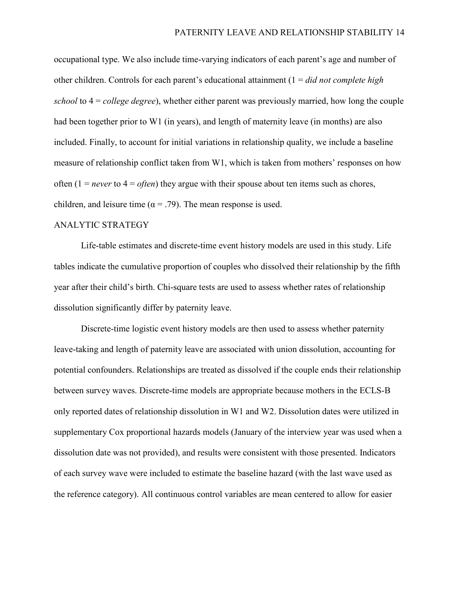occupational type. We also include time-varying indicators of each parent's age and number of other children. Controls for each parent's educational attainment (1 = *did not complete high school* to 4 = *college degree*), whether either parent was previously married, how long the couple had been together prior to W1 (in years), and length of maternity leave (in months) are also included. Finally, to account for initial variations in relationship quality, we include a baseline measure of relationship conflict taken from W1, which is taken from mothers' responses on how often  $(1 = never to 4 = often)$  they argue with their spouse about ten items such as chores, children, and leisure time ( $\alpha$  = .79). The mean response is used.

## ANALYTIC STRATEGY

Life-table estimates and discrete-time event history models are used in this study. Life tables indicate the cumulative proportion of couples who dissolved their relationship by the fifth year after their child's birth. Chi-square tests are used to assess whether rates of relationship dissolution significantly differ by paternity leave.

Discrete-time logistic event history models are then used to assess whether paternity leave-taking and length of paternity leave are associated with union dissolution, accounting for potential confounders. Relationships are treated as dissolved if the couple ends their relationship between survey waves. Discrete-time models are appropriate because mothers in the ECLS-B only reported dates of relationship dissolution in W1 and W2. Dissolution dates were utilized in supplementary Cox proportional hazards models (January of the interview year was used when a dissolution date was not provided), and results were consistent with those presented. Indicators of each survey wave were included to estimate the baseline hazard (with the last wave used as the reference category). All continuous control variables are mean centered to allow for easier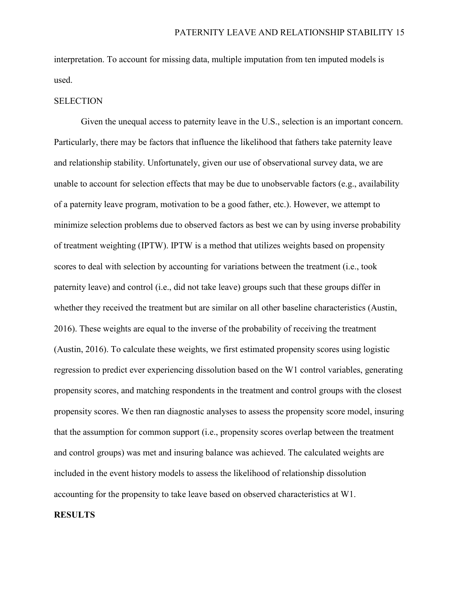interpretation. To account for missing data, multiple imputation from ten imputed models is used.

## **SELECTION**

Given the unequal access to paternity leave in the U.S., selection is an important concern. Particularly, there may be factors that influence the likelihood that fathers take paternity leave and relationship stability. Unfortunately, given our use of observational survey data, we are unable to account for selection effects that may be due to unobservable factors (e.g., availability of a paternity leave program, motivation to be a good father, etc.). However, we attempt to minimize selection problems due to observed factors as best we can by using inverse probability of treatment weighting (IPTW). IPTW is a method that utilizes weights based on propensity scores to deal with selection by accounting for variations between the treatment (i.e., took paternity leave) and control (i.e., did not take leave) groups such that these groups differ in whether they received the treatment but are similar on all other baseline characteristics (Austin, 2016). These weights are equal to the inverse of the probability of receiving the treatment (Austin, 2016). To calculate these weights, we first estimated propensity scores using logistic regression to predict ever experiencing dissolution based on the W1 control variables, generating propensity scores, and matching respondents in the treatment and control groups with the closest propensity scores. We then ran diagnostic analyses to assess the propensity score model, insuring that the assumption for common support (i.e., propensity scores overlap between the treatment and control groups) was met and insuring balance was achieved. The calculated weights are included in the event history models to assess the likelihood of relationship dissolution accounting for the propensity to take leave based on observed characteristics at W1.

#### **RESULTS**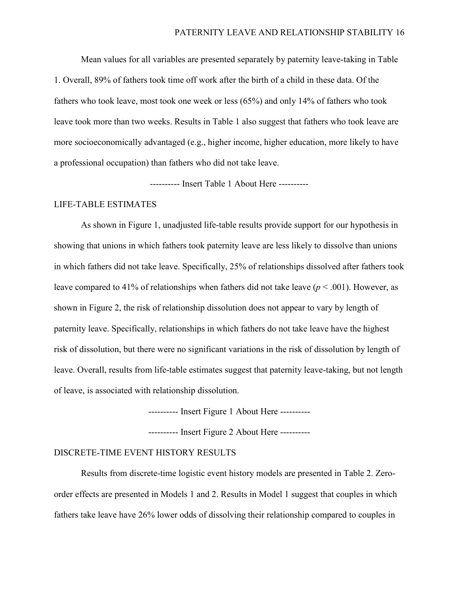Mean values for all variables are presented separately by paternity leave-taking in Table 1. Overall, 89% of fathers took time off work after the birth of a child in these data. Of the fathers who took leave, most took one week or less (65%) and only 14% of fathers who took leave took more than two weeks. Results in Table 1 also suggest that fathers who took leave are more socioeconomically advantaged (e.g., higher income, higher education, more likely to have a professional occupation) than fathers who did not take leave.

---------- Insert Table 1 About Here ----------

### LIFE-TABLE ESTIMATES

As shown in Figure 1, unadjusted life-table results provide support for our hypothesis in showing that unions in which fathers took paternity leave are less likely to dissolve than unions in which fathers did not take leave. Specifically, 25% of relationships dissolved after fathers took leave compared to 41% of relationships when fathers did not take leave ( $p < .001$ ). However, as shown in Figure 2, the risk of relationship dissolution does not appear to vary by length of paternity leave. Specifically, relationships in which fathers do not take leave have the highest risk of dissolution, but there were no significant variations in the risk of dissolution by length of leave. Overall, results from life-table estimates suggest that paternity leave-taking, but not length of leave, is associated with relationship dissolution.

---------- Insert Figure 1 About Here ----------

---------- Insert Figure 2 About Here ----------

### DISCRETE-TIME EVENT HISTORY RESULTS

Results from discrete-time logistic event history models are presented in Table 2. Zeroorder effects are presented in Models 1 and 2. Results in Model 1 suggest that couples in which fathers take leave have 26% lower odds of dissolving their relationship compared to couples in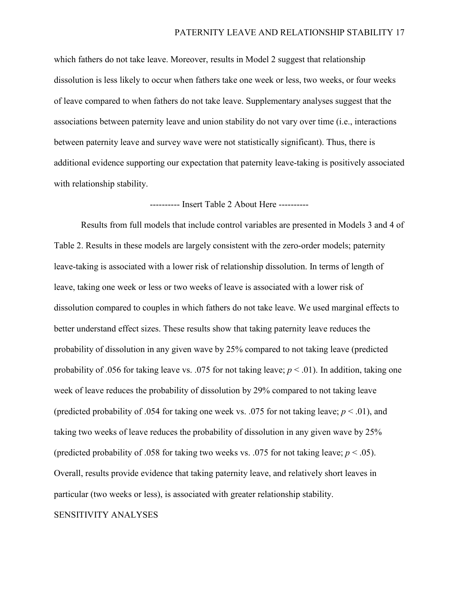which fathers do not take leave. Moreover, results in Model 2 suggest that relationship dissolution is less likely to occur when fathers take one week or less, two weeks, or four weeks of leave compared to when fathers do not take leave. Supplementary analyses suggest that the associations between paternity leave and union stability do not vary over time (i.e., interactions between paternity leave and survey wave were not statistically significant). Thus, there is additional evidence supporting our expectation that paternity leave-taking is positively associated with relationship stability.

### ---------- Insert Table 2 About Here ----------

Results from full models that include control variables are presented in Models 3 and 4 of Table 2. Results in these models are largely consistent with the zero-order models; paternity leave-taking is associated with a lower risk of relationship dissolution. In terms of length of leave, taking one week or less or two weeks of leave is associated with a lower risk of dissolution compared to couples in which fathers do not take leave. We used marginal effects to better understand effect sizes. These results show that taking paternity leave reduces the probability of dissolution in any given wave by 25% compared to not taking leave (predicted probability of .056 for taking leave vs. .075 for not taking leave; *p* < .01). In addition, taking one week of leave reduces the probability of dissolution by 29% compared to not taking leave (predicted probability of .054 for taking one week vs. .075 for not taking leave;  $p < .01$ ), and taking two weeks of leave reduces the probability of dissolution in any given wave by 25% (predicted probability of .058 for taking two weeks vs. .075 for not taking leave;  $p < .05$ ). Overall, results provide evidence that taking paternity leave, and relatively short leaves in particular (two weeks or less), is associated with greater relationship stability.

#### SENSITIVITY ANALYSES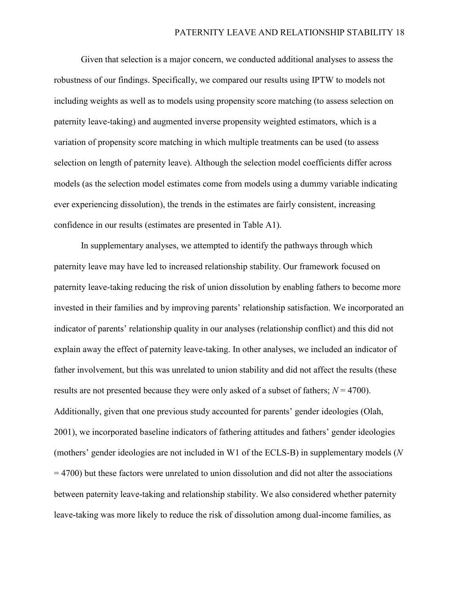Given that selection is a major concern, we conducted additional analyses to assess the robustness of our findings. Specifically, we compared our results using IPTW to models not including weights as well as to models using propensity score matching (to assess selection on paternity leave-taking) and augmented inverse propensity weighted estimators, which is a variation of propensity score matching in which multiple treatments can be used (to assess selection on length of paternity leave). Although the selection model coefficients differ across models (as the selection model estimates come from models using a dummy variable indicating ever experiencing dissolution), the trends in the estimates are fairly consistent, increasing confidence in our results (estimates are presented in Table A1).

In supplementary analyses, we attempted to identify the pathways through which paternity leave may have led to increased relationship stability. Our framework focused on paternity leave-taking reducing the risk of union dissolution by enabling fathers to become more invested in their families and by improving parents' relationship satisfaction. We incorporated an indicator of parents' relationship quality in our analyses (relationship conflict) and this did not explain away the effect of paternity leave-taking. In other analyses, we included an indicator of father involvement, but this was unrelated to union stability and did not affect the results (these results are not presented because they were only asked of a subset of fathers; *N* = 4700). Additionally, given that one previous study accounted for parents' gender ideologies (Olah, 2001), we incorporated baseline indicators of fathering attitudes and fathers' gender ideologies (mothers' gender ideologies are not included in W1 of the ECLS-B) in supplementary models (*N*  = 4700) but these factors were unrelated to union dissolution and did not alter the associations between paternity leave-taking and relationship stability. We also considered whether paternity leave-taking was more likely to reduce the risk of dissolution among dual-income families, as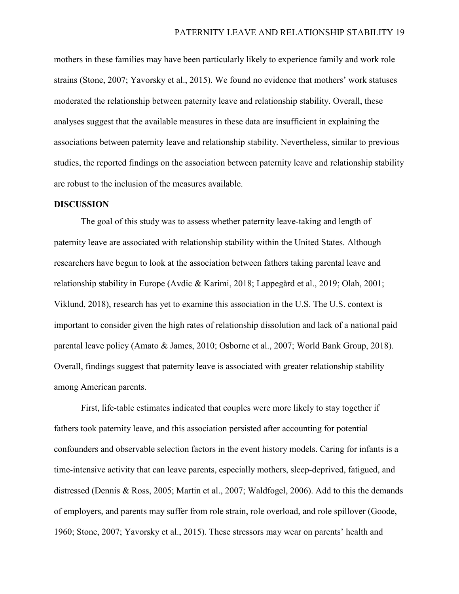mothers in these families may have been particularly likely to experience family and work role strains (Stone, 2007; Yavorsky et al., 2015). We found no evidence that mothers' work statuses moderated the relationship between paternity leave and relationship stability. Overall, these analyses suggest that the available measures in these data are insufficient in explaining the associations between paternity leave and relationship stability. Nevertheless, similar to previous studies, the reported findings on the association between paternity leave and relationship stability are robust to the inclusion of the measures available.

#### **DISCUSSION**

The goal of this study was to assess whether paternity leave-taking and length of paternity leave are associated with relationship stability within the United States. Although researchers have begun to look at the association between fathers taking parental leave and relationship stability in Europe (Avdic & Karimi, 2018; Lappegård et al., 2019; Olah, 2001; Viklund, 2018), research has yet to examine this association in the U.S. The U.S. context is important to consider given the high rates of relationship dissolution and lack of a national paid parental leave policy (Amato & James, 2010; Osborne et al., 2007; World Bank Group, 2018). Overall, findings suggest that paternity leave is associated with greater relationship stability among American parents.

First, life-table estimates indicated that couples were more likely to stay together if fathers took paternity leave, and this association persisted after accounting for potential confounders and observable selection factors in the event history models. Caring for infants is a time-intensive activity that can leave parents, especially mothers, sleep-deprived, fatigued, and distressed (Dennis & Ross, 2005; Martin et al., 2007; Waldfogel, 2006). Add to this the demands of employers, and parents may suffer from role strain, role overload, and role spillover (Goode, 1960; Stone, 2007; Yavorsky et al., 2015). These stressors may wear on parents' health and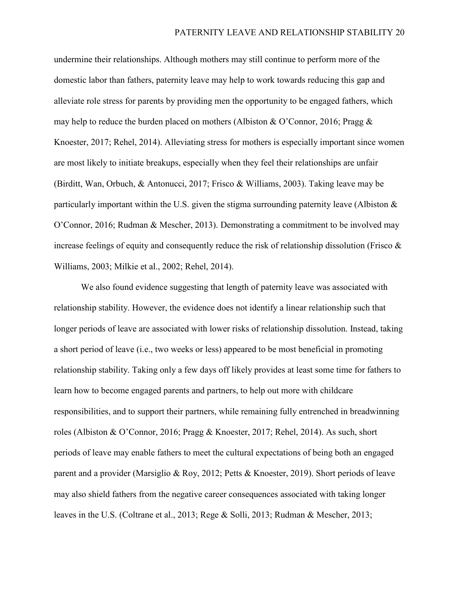undermine their relationships. Although mothers may still continue to perform more of the domestic labor than fathers, paternity leave may help to work towards reducing this gap and alleviate role stress for parents by providing men the opportunity to be engaged fathers, which may help to reduce the burden placed on mothers (Albiston & O'Connor, 2016; Pragg & Knoester, 2017; Rehel, 2014). Alleviating stress for mothers is especially important since women are most likely to initiate breakups, especially when they feel their relationships are unfair (Birditt, Wan, Orbuch, & Antonucci, 2017; Frisco & Williams, 2003). Taking leave may be particularly important within the U.S. given the stigma surrounding paternity leave (Albiston & O'Connor, 2016; Rudman & Mescher, 2013). Demonstrating a commitment to be involved may increase feelings of equity and consequently reduce the risk of relationship dissolution (Frisco  $\&$ Williams, 2003; Milkie et al., 2002; Rehel, 2014).

We also found evidence suggesting that length of paternity leave was associated with relationship stability. However, the evidence does not identify a linear relationship such that longer periods of leave are associated with lower risks of relationship dissolution. Instead, taking a short period of leave (i.e., two weeks or less) appeared to be most beneficial in promoting relationship stability. Taking only a few days off likely provides at least some time for fathers to learn how to become engaged parents and partners, to help out more with childcare responsibilities, and to support their partners, while remaining fully entrenched in breadwinning roles (Albiston & O'Connor, 2016; Pragg & Knoester, 2017; Rehel, 2014). As such, short periods of leave may enable fathers to meet the cultural expectations of being both an engaged parent and a provider (Marsiglio & Roy, 2012; Petts & Knoester, 2019). Short periods of leave may also shield fathers from the negative career consequences associated with taking longer leaves in the U.S. (Coltrane et al., 2013; Rege & Solli, 2013; Rudman & Mescher, 2013;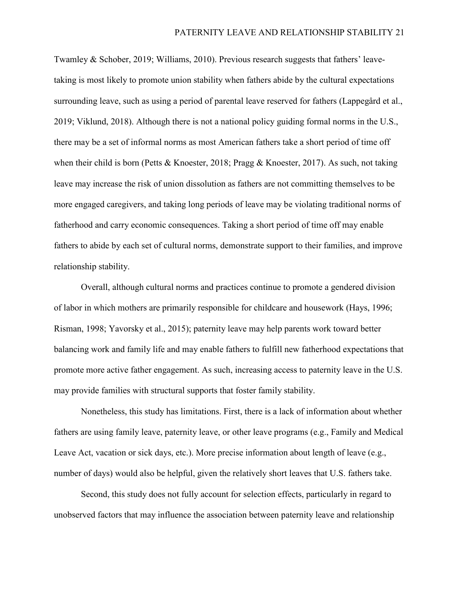Twamley & Schober, 2019; Williams, 2010). Previous research suggests that fathers' leavetaking is most likely to promote union stability when fathers abide by the cultural expectations surrounding leave, such as using a period of parental leave reserved for fathers (Lappegård et al., 2019; Viklund, 2018). Although there is not a national policy guiding formal norms in the U.S., there may be a set of informal norms as most American fathers take a short period of time off when their child is born (Petts & Knoester, 2018; Pragg & Knoester, 2017). As such, not taking leave may increase the risk of union dissolution as fathers are not committing themselves to be more engaged caregivers, and taking long periods of leave may be violating traditional norms of fatherhood and carry economic consequences. Taking a short period of time off may enable fathers to abide by each set of cultural norms, demonstrate support to their families, and improve relationship stability.

Overall, although cultural norms and practices continue to promote a gendered division of labor in which mothers are primarily responsible for childcare and housework (Hays, 1996; Risman, 1998; Yavorsky et al., 2015); paternity leave may help parents work toward better balancing work and family life and may enable fathers to fulfill new fatherhood expectations that promote more active father engagement. As such, increasing access to paternity leave in the U.S. may provide families with structural supports that foster family stability.

Nonetheless, this study has limitations. First, there is a lack of information about whether fathers are using family leave, paternity leave, or other leave programs (e.g., Family and Medical Leave Act, vacation or sick days, etc.). More precise information about length of leave (e.g., number of days) would also be helpful, given the relatively short leaves that U.S. fathers take.

Second, this study does not fully account for selection effects, particularly in regard to unobserved factors that may influence the association between paternity leave and relationship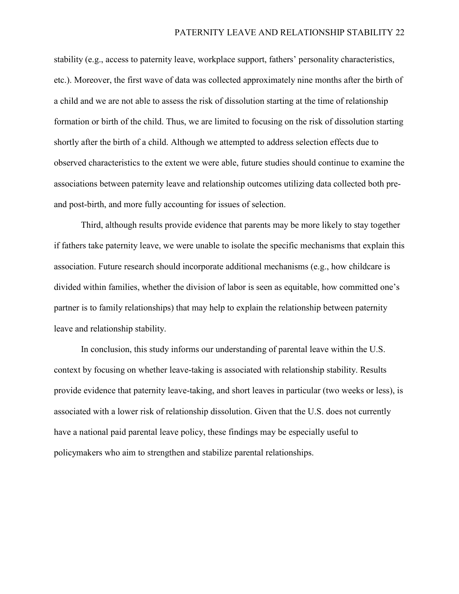stability (e.g., access to paternity leave, workplace support, fathers' personality characteristics, etc.). Moreover, the first wave of data was collected approximately nine months after the birth of a child and we are not able to assess the risk of dissolution starting at the time of relationship formation or birth of the child. Thus, we are limited to focusing on the risk of dissolution starting shortly after the birth of a child. Although we attempted to address selection effects due to observed characteristics to the extent we were able, future studies should continue to examine the associations between paternity leave and relationship outcomes utilizing data collected both preand post-birth, and more fully accounting for issues of selection.

Third, although results provide evidence that parents may be more likely to stay together if fathers take paternity leave, we were unable to isolate the specific mechanisms that explain this association. Future research should incorporate additional mechanisms (e.g., how childcare is divided within families, whether the division of labor is seen as equitable, how committed one's partner is to family relationships) that may help to explain the relationship between paternity leave and relationship stability.

In conclusion, this study informs our understanding of parental leave within the U.S. context by focusing on whether leave-taking is associated with relationship stability. Results provide evidence that paternity leave-taking, and short leaves in particular (two weeks or less), is associated with a lower risk of relationship dissolution. Given that the U.S. does not currently have a national paid parental leave policy, these findings may be especially useful to policymakers who aim to strengthen and stabilize parental relationships.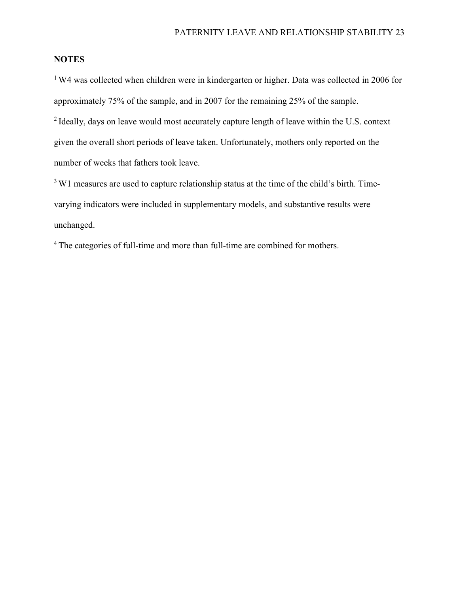# **NOTES**

<sup>1</sup> W4 was collected when children were in kindergarten or higher. Data was collected in 2006 for approximately 75% of the sample, and in 2007 for the remaining 25% of the sample. <sup>2</sup> Ideally, days on leave would most accurately capture length of leave within the U.S. context given the overall short periods of leave taken. Unfortunately, mothers only reported on the number of weeks that fathers took leave.

<sup>3</sup> W1 measures are used to capture relationship status at the time of the child's birth. Timevarying indicators were included in supplementary models, and substantive results were unchanged.

<sup>4</sup> The categories of full-time and more than full-time are combined for mothers.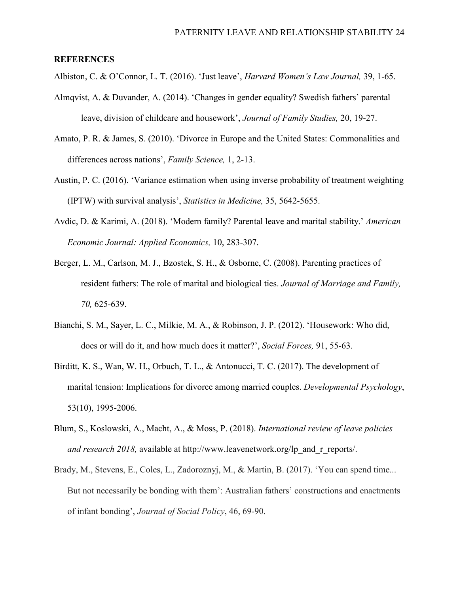## **REFERENCES**

Albiston, C. & O'Connor, L. T. (2016). 'Just leave', *Harvard Women's Law Journal,* 39, 1-65.

- Almqvist, A. & Duvander, A. (2014). 'Changes in gender equality? Swedish fathers' parental leave, division of childcare and housework', *Journal of Family Studies,* 20, 19-27.
- Amato, P. R. & James, S. (2010). 'Divorce in Europe and the United States: Commonalities and differences across nations', *Family Science,* 1, 2-13.
- Austin, P. C. (2016). 'Variance estimation when using inverse probability of treatment weighting (IPTW) with survival analysis', *Statistics in Medicine,* 35, 5642-5655.
- Avdic, D. & Karimi, A. (2018). 'Modern family? Parental leave and marital stability.' *American Economic Journal: Applied Economics,* 10, 283-307.
- Berger, L. M., Carlson, M. J., Bzostek, S. H., & Osborne, C. (2008). Parenting practices of resident fathers: The role of marital and biological ties. *Journal of Marriage and Family, 70,* 625-639.
- Bianchi, S. M., Sayer, L. C., Milkie, M. A., & Robinson, J. P. (2012). 'Housework: Who did, does or will do it, and how much does it matter?', *Social Forces,* 91, 55-63.
- Birditt, K. S., Wan, W. H., Orbuch, T. L., & Antonucci, T. C. (2017). The development of marital tension: Implications for divorce among married couples. *Developmental Psychology*, 53(10), 1995-2006.
- Blum, S., Koslowski, A., Macht, A., & Moss, P. (2018). *International review of leave policies and research 2018, available at http://www.leavenetwork.org/lp\_and\_r\_reports/.*
- Brady, M., Stevens, E., Coles, L., Zadoroznyj, M., & Martin, B. (2017). 'You can spend time... But not necessarily be bonding with them': Australian fathers' constructions and enactments of infant bonding', *Journal of Social Policy*, 46, 69-90.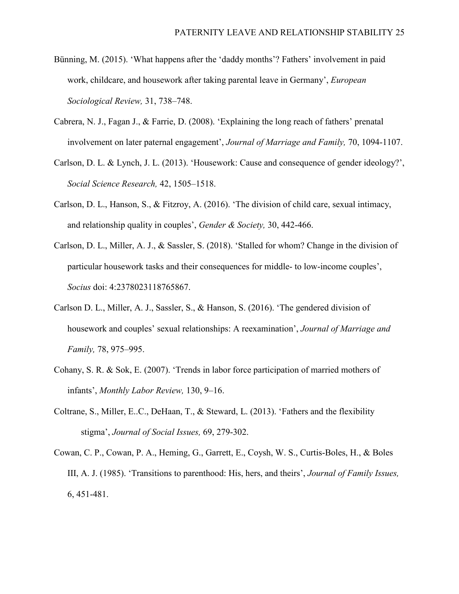- Bünning, M. (2015). 'What happens after the 'daddy months'? Fathers' involvement in paid work, childcare, and housework after taking parental leave in Germany', *European Sociological Review,* 31, 738–748.
- Cabrera, N. J., Fagan J., & Farrie, D. (2008). 'Explaining the long reach of fathers' prenatal involvement on later paternal engagement', *Journal of Marriage and Family,* 70, 1094-1107.
- Carlson, D. L. & Lynch, J. L. (2013). 'Housework: Cause and consequence of gender ideology?', *Social Science Research,* 42, 1505–1518.
- Carlson, D. L., Hanson, S., & Fitzroy, A. (2016). 'The division of child care, sexual intimacy, and relationship quality in couples', *Gender & Society,* 30, 442-466.
- Carlson, D. L., Miller, A. J., & Sassler, S. (2018). 'Stalled for whom? Change in the division of particular housework tasks and their consequences for middle- to low-income couples', *Socius* doi: 4:2378023118765867.
- Carlson D. L., Miller, A. J., Sassler, S., & Hanson, S. (2016). 'The gendered division of housework and couples' sexual relationships: A reexamination', *Journal of Marriage and Family,* 78, 975–995.
- Cohany, S. R. & Sok, E. (2007). 'Trends in labor force participation of married mothers of infants', *Monthly Labor Review,* 130, 9–16.
- Coltrane, S., Miller, E..C., DeHaan, T., & Steward, L. (2013). 'Fathers and the flexibility stigma', *Journal of Social Issues,* 69, 279-302.
- Cowan, C. P., Cowan, P. A., Heming, G., Garrett, E., Coysh, W. S., Curtis-Boles, H., & Boles III, A. J. (1985). 'Transitions to parenthood: His, hers, and theirs', *Journal of Family Issues,*  6, 451-481.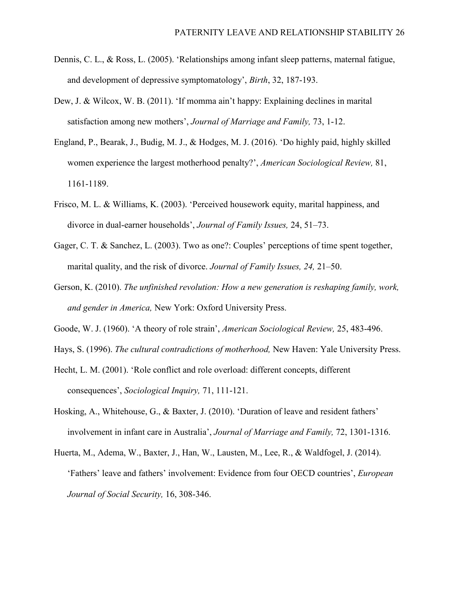- Dennis, C. L., & Ross, L. (2005). 'Relationships among infant sleep patterns, maternal fatigue, and development of depressive symptomatology', *Birth*, 32, 187-193.
- Dew, J. & Wilcox, W. B. (2011). 'If momma ain't happy: Explaining declines in marital satisfaction among new mothers', *Journal of Marriage and Family,* 73, 1-12.
- England, P., Bearak, J., Budig, M. J., & Hodges, M. J. (2016). 'Do highly paid, highly skilled women experience the largest motherhood penalty?', *American Sociological Review,* 81, 1161-1189.
- Frisco, M. L. & Williams, K. (2003). 'Perceived housework equity, marital happiness, and divorce in dual-earner households', *Journal of Family Issues,* 24, 51–73.
- Gager, C. T. & Sanchez, L. (2003). Two as one?: Couples' perceptions of time spent together, marital quality, and the risk of divorce. *Journal of Family Issues, 24,* 21–50.
- Gerson, K. (2010). *The unfinished revolution: How a new generation is reshaping family, work, and gender in America,* New York: Oxford University Press.
- Goode, W. J. (1960). 'A theory of role strain', *American Sociological Review,* 25, 483-496.
- Hays, S. (1996). *The cultural contradictions of motherhood,* New Haven: Yale University Press.
- Hecht, L. M. (2001). 'Role conflict and role overload: different concepts, different consequences', *Sociological Inquiry,* 71, 111-121.
- Hosking, A., Whitehouse, G., & Baxter, J. (2010). 'Duration of leave and resident fathers' involvement in infant care in Australia', *Journal of Marriage and Family,* 72, 1301-1316.
- Huerta, M., Adema, W., Baxter, J., Han, W., Lausten, M., Lee, R., & Waldfogel, J. (2014). 'Fathers' leave and fathers' involvement: Evidence from four OECD countries', *European Journal of Social Security,* 16, 308-346.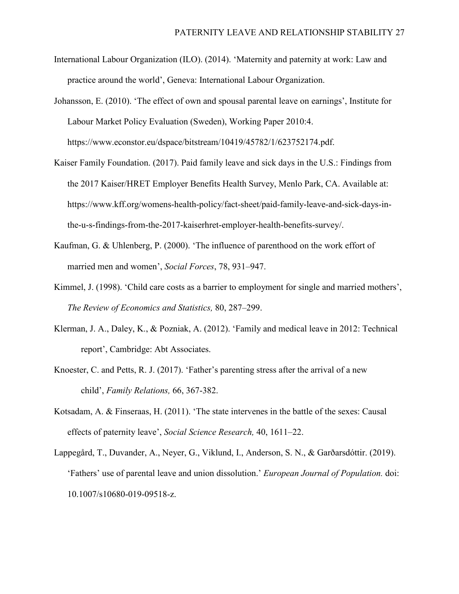- International Labour Organization (ILO). (2014). 'Maternity and paternity at work: Law and practice around the world', Geneva: International Labour Organization.
- Johansson, E. (2010). 'The effect of own and spousal parental leave on earnings', Institute for Labour Market Policy Evaluation (Sweden), Working Paper 2010:4. https://www.econstor.eu/dspace/bitstream/10419/45782/1/623752174.pdf.
- Kaiser Family Foundation. (2017). Paid family leave and sick days in the U.S.: Findings from the 2017 Kaiser/HRET Employer Benefits Health Survey, Menlo Park, CA. Available at: https://www.kff.org/womens-health-policy/fact-sheet/paid-family-leave-and-sick-days-inthe-u-s-findings-from-the-2017-kaiserhret-employer-health-benefits-survey/.
- Kaufman, G. & Uhlenberg, P. (2000). 'The influence of parenthood on the work effort of married men and women', *Social Forces*, 78, 931–947.
- Kimmel, J. (1998). 'Child care costs as a barrier to employment for single and married mothers', *The Review of Economics and Statistics,* 80, 287–299.
- Klerman, J. A., Daley, K., & Pozniak, A. (2012). 'Family and medical leave in 2012: Technical report', Cambridge: Abt Associates.
- Knoester, C. and Petts, R. J. (2017). 'Father's parenting stress after the arrival of a new child', *Family Relations,* 66, 367-382.
- Kotsadam, A. & Finseraas, H. (2011). 'The state intervenes in the battle of the sexes: Causal effects of paternity leave', *Social Science Research,* 40, 1611–22.
- Lappegård, T., Duvander, A., Neyer, G., Viklund, I., Anderson, S. N., & Garðarsdóttir. (2019). 'Fathers' use of parental leave and union dissolution.' *European Journal of Population.* doi: 10.1007/s10680-019-09518-z.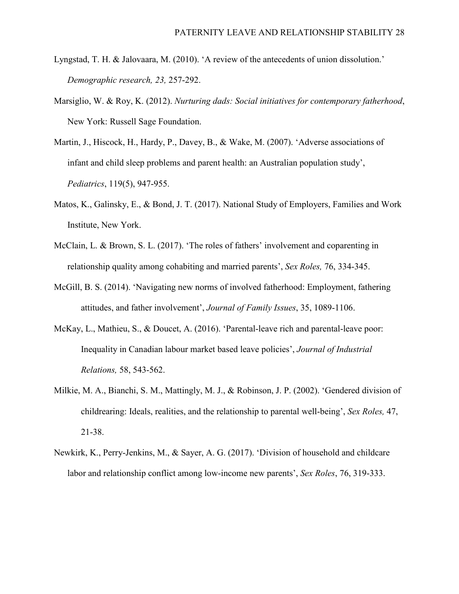- Lyngstad, T. H. & Jalovaara, M. (2010). 'A review of the antecedents of union dissolution.' *Demographic research, 23,* 257-292.
- Marsiglio, W. & Roy, K. (2012). *Nurturing dads: Social initiatives for contemporary fatherhood*, New York: Russell Sage Foundation.
- Martin, J., Hiscock, H., Hardy, P., Davey, B., & Wake, M. (2007). 'Adverse associations of infant and child sleep problems and parent health: an Australian population study', *Pediatrics*, 119(5), 947-955.
- Matos, K., Galinsky, E., & Bond, J. T. (2017). National Study of Employers, Families and Work Institute, New York.
- McClain, L. & Brown, S. L. (2017). 'The roles of fathers' involvement and coparenting in relationship quality among cohabiting and married parents', *Sex Roles,* 76, 334-345.
- McGill, B. S. (2014). 'Navigating new norms of involved fatherhood: Employment, fathering attitudes, and father involvement', *Journal of Family Issues*, 35, 1089-1106.
- McKay, L., Mathieu, S., & Doucet, A. (2016). 'Parental-leave rich and parental-leave poor: Inequality in Canadian labour market based leave policies', *Journal of Industrial Relations,* 58, 543-562.
- Milkie, M. A., Bianchi, S. M., Mattingly, M. J., & Robinson, J. P. (2002). 'Gendered division of childrearing: Ideals, realities, and the relationship to parental well-being', *Sex Roles,* 47, 21-38.
- Newkirk, K., Perry-Jenkins, M., & Sayer, A. G. (2017). 'Division of household and childcare labor and relationship conflict among low-income new parents', *Sex Roles*, 76, 319-333.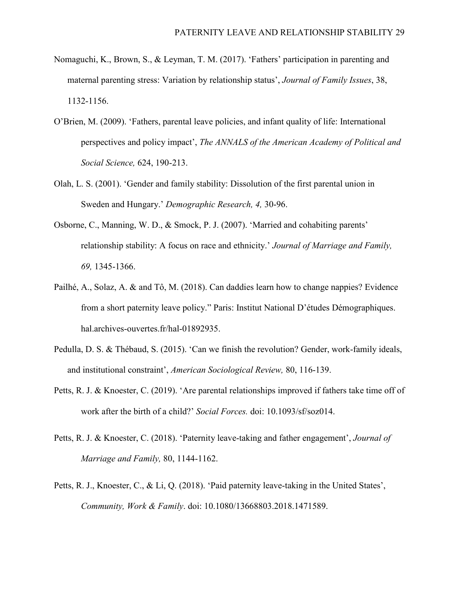- Nomaguchi, K., Brown, S., & Leyman, T. M. (2017). 'Fathers' participation in parenting and maternal parenting stress: Variation by relationship status', *Journal of Family Issues*, 38, 1132-1156.
- O'Brien, M. (2009). 'Fathers, parental leave policies, and infant quality of life: International perspectives and policy impact', *The ANNALS of the American Academy of Political and Social Science,* 624, 190-213.
- Olah, L. S. (2001). 'Gender and family stability: Dissolution of the first parental union in Sweden and Hungary.' *Demographic Research, 4,* 30-96.
- Osborne, C., Manning, W. D., & Smock, P. J. (2007). 'Married and cohabiting parents' relationship stability: A focus on race and ethnicity.' *Journal of Marriage and Family, 69,* 1345-1366.
- Pailhé, A., Solaz, A. & and Tô, M. (2018). Can daddies learn how to change nappies? Evidence from a short paternity leave policy." Paris: Institut National D'études Démographiques. hal.archives-ouvertes.fr/hal-01892935.
- Pedulla, D. S. & Thébaud, S. (2015). 'Can we finish the revolution? Gender, work-family ideals, and institutional constraint', *American Sociological Review,* 80, 116-139.
- Petts, R. J. & Knoester, C. (2019). 'Are parental relationships improved if fathers take time off of work after the birth of a child?' *Social Forces.* doi: 10.1093/sf/soz014.
- Petts, R. J. & Knoester, C. (2018). 'Paternity leave-taking and father engagement', *Journal of Marriage and Family,* 80, 1144-1162.
- Petts, R. J., Knoester, C., & Li, Q. (2018). 'Paid paternity leave-taking in the United States', *Community, Work & Family*. doi: 10.1080/13668803.2018.1471589.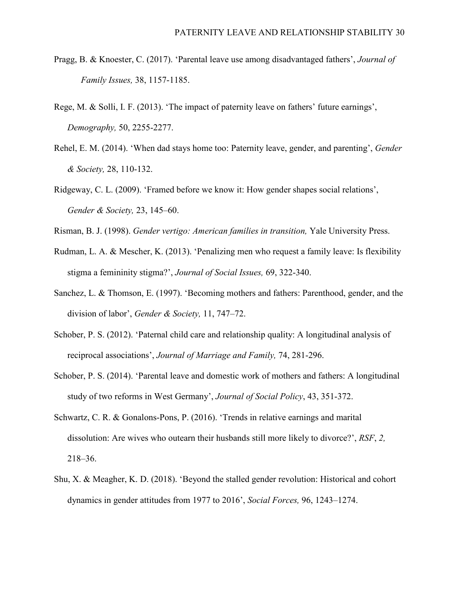- Pragg, B. & Knoester, C. (2017). 'Parental leave use among disadvantaged fathers', *Journal of Family Issues,* 38, 1157-1185.
- Rege, M. & Solli, I. F. (2013). 'The impact of paternity leave on fathers' future earnings', *Demography,* 50, 2255-2277.
- Rehel, E. M. (2014). 'When dad stays home too: Paternity leave, gender, and parenting', *Gender & Society,* 28, 110-132.
- Ridgeway, C. L. (2009). 'Framed before we know it: How gender shapes social relations', *Gender & Society,* 23, 145–60.
- Risman, B. J. (1998). *Gender vertigo: American families in transition,* Yale University Press.
- Rudman, L. A. & Mescher, K. (2013). 'Penalizing men who request a family leave: Is flexibility stigma a femininity stigma?', *Journal of Social Issues,* 69, 322-340.
- Sanchez, L. & Thomson, E. (1997). 'Becoming mothers and fathers: Parenthood, gender, and the division of labor', *Gender & Society,* 11, 747–72.
- Schober, P. S. (2012). 'Paternal child care and relationship quality: A longitudinal analysis of reciprocal associations', *Journal of Marriage and Family,* 74, 281-296.
- Schober, P. S. (2014). 'Parental leave and domestic work of mothers and fathers: A longitudinal study of two reforms in West Germany', *Journal of Social Policy*, 43, 351-372.
- Schwartz, C. R. & Gonalons-Pons, P. (2016). 'Trends in relative earnings and marital dissolution: Are wives who outearn their husbands still more likely to divorce?', *RSF*, *2,* 218–36.
- Shu, X. & Meagher, K. D. (2018). 'Beyond the stalled gender revolution: Historical and cohort dynamics in gender attitudes from 1977 to 2016', *Social Forces,* 96, 1243–1274.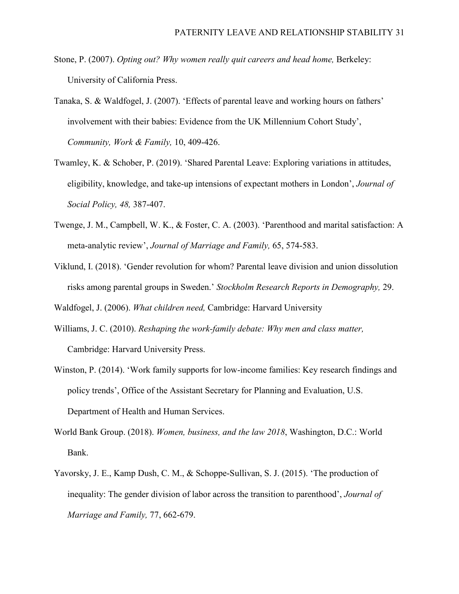- Stone, P. (2007). *Opting out? Why women really quit careers and head home,* Berkeley: University of California Press.
- Tanaka, S. & Waldfogel, J. (2007). 'Effects of parental leave and working hours on fathers' involvement with their babies: Evidence from the UK Millennium Cohort Study', *Community, Work & Family,* 10, 409-426.
- Twamley, K. & Schober, P. (2019). 'Shared Parental Leave: Exploring variations in attitudes, eligibility, knowledge, and take-up intensions of expectant mothers in London', *Journal of Social Policy, 48,* 387-407.
- Twenge, J. M., Campbell, W. K., & Foster, C. A. (2003). 'Parenthood and marital satisfaction: A meta-analytic review', *Journal of Marriage and Family,* 65, 574-583.
- Viklund, I. (2018). 'Gender revolution for whom? Parental leave division and union dissolution risks among parental groups in Sweden.' *Stockholm Research Reports in Demography,* 29.

Waldfogel, J. (2006). *What children need,* Cambridge: Harvard University

- Williams, J. C. (2010). *Reshaping the work-family debate: Why men and class matter,* Cambridge: Harvard University Press.
- Winston, P. (2014). 'Work family supports for low-income families: Key research findings and policy trends', Office of the Assistant Secretary for Planning and Evaluation, U.S. Department of Health and Human Services.
- World Bank Group. (2018). *Women, business, and the law 2018*, Washington, D.C.: World Bank.
- Yavorsky, J. E., Kamp Dush, C. M., & Schoppe-Sullivan, S. J. (2015). 'The production of inequality: The gender division of labor across the transition to parenthood', *Journal of Marriage and Family,* 77, 662-679.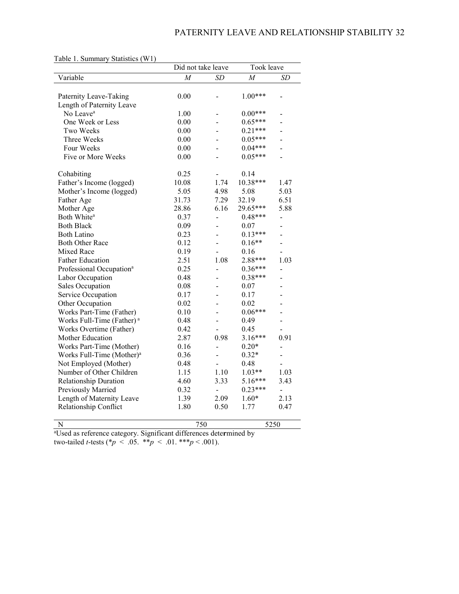|                                       | Did not take leave |                          | Took leave     |                          |
|---------------------------------------|--------------------|--------------------------|----------------|--------------------------|
| Variable                              | $\overline{M}$     | <b>SD</b>                | $\overline{M}$ | SD                       |
|                                       |                    |                          |                |                          |
| Paternity Leave-Taking                | 0.00               | -                        | $1.00***$      |                          |
| Length of Paternity Leave             |                    |                          |                |                          |
| No Leave <sup>a</sup>                 | 1.00               |                          | $0.00***$      |                          |
| One Week or Less                      | 0.00               |                          | $0.65***$      |                          |
| Two Weeks                             | 0.00               | $\overline{\phantom{0}}$ | $0.21***$      |                          |
| Three Weeks                           | 0.00               |                          | $0.05***$      |                          |
| Four Weeks                            | 0.00               |                          | $0.04***$      |                          |
| Five or More Weeks                    | 0.00               |                          | $0.05***$      | $\overline{a}$           |
| Cohabiting                            | 0.25               |                          | 0.14           |                          |
| Father's Income (logged)              | 10.08              | 1.74                     | $10.38***$     | 1.47                     |
| Mother's Income (logged)              | 5.05               | 4.98                     | 5.08           | 5.03                     |
| Father Age                            | 31.73              | 7.29                     | 32.19          | 6.51                     |
| Mother Age                            | 28.86              | 6.16                     | 29.65***       | 5.88                     |
| Both White <sup>a</sup>               | 0.37               | L,                       | $0.48***$      | $\overline{a}$           |
| <b>Both Black</b>                     | 0.09               |                          | 0.07           |                          |
| <b>Both Latino</b>                    | 0.23               | L,                       | $0.13***$      | $\overline{a}$           |
| <b>Both Other Race</b>                | 0.12               |                          | $0.16**$       |                          |
| <b>Mixed Race</b>                     | 0.19               |                          | 0.16           |                          |
| <b>Father Education</b>               | 2.51               | 1.08                     | 2.88***        | 1.03                     |
| Professional Occupation <sup>a</sup>  | 0.25               | $\overline{a}$           | $0.36***$      | $\overline{a}$           |
| Labor Occupation                      | 0.48               |                          | $0.38***$      |                          |
| Sales Occupation                      | 0.08               | $\overline{a}$           | 0.07           |                          |
| Service Occupation                    | 0.17               |                          | 0.17           |                          |
| Other Occupation                      | 0.02               | L,                       | 0.02           |                          |
| Works Part-Time (Father)              | 0.10               |                          | $0.06***$      |                          |
| Works Full-Time (Father) <sup>a</sup> | 0.48               |                          | 0.49           |                          |
| Works Overtime (Father)               | 0.42               |                          | 0.45           |                          |
| Mother Education                      | 2.87               | 0.98                     | $3.16***$      | 0.91                     |
| Works Part-Time (Mother)              | 0.16               | $\overline{a}$           | $0.20*$        | $\overline{\phantom{0}}$ |
| Works Full-Time (Mother) <sup>a</sup> | 0.36               | $\overline{a}$           | $0.32*$        | $\overline{a}$           |
| Not Employed (Mother)                 | 0.48               |                          | 0.48           |                          |
| Number of Other Children              | 1.15               | 1.10                     | $1.03**$       | 1.03                     |
| <b>Relationship Duration</b>          | 4.60               | 3.33                     | 5.16***        | 3.43                     |
| Previously Married                    | 0.32               | $\overline{a}$           | $0.23***$      | $\overline{a}$           |
| Length of Maternity Leave             | 1.39               | 2.09                     | $1.60*$        | 2.13                     |
| Relationship Conflict                 | 1.80               | 0.50                     | 1.77           | 0.47                     |
| N                                     | 750                |                          |                | 5250                     |

Table 1. Summary Statistics (W1)

N 750 5250 a Used as reference category. Significant differences dete**r**mined by two-tailed *t*-tests (\**p* < .05. \*\**p* < .01. \*\*\**p* < .001).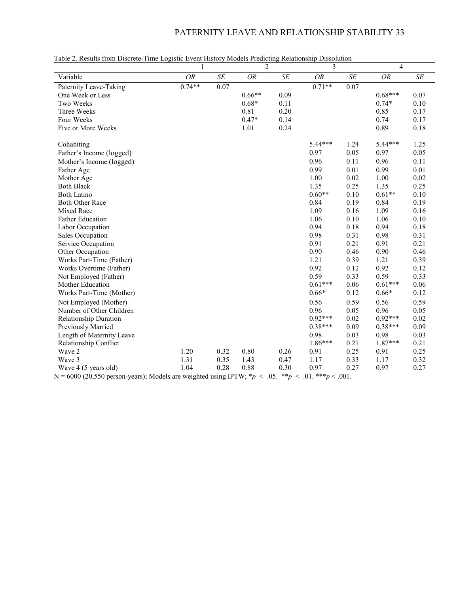# PATERNITY LEAVE AND RELATIONSHIP STABILITY 33

| Tube 2. Results from Discrete Thine Eugestic Event History Models I reducting Relationship Dissolution | 1         |        | $\overline{2}$ |      | 3         |                      | $\overline{4}$ |      |
|--------------------------------------------------------------------------------------------------------|-----------|--------|----------------|------|-----------|----------------------|----------------|------|
| Variable                                                                                               | <b>OR</b> | $S\!E$ | <b>OR</b>      | SE   | <b>OR</b> | $S\hspace{-0.08em}E$ | <b>OR</b>      | SE   |
| Paternity Leave-Taking                                                                                 | $0.74**$  | 0.07   |                |      | $0.71**$  | 0.07                 |                |      |
| One Week or Less                                                                                       |           |        | $0.66**$       | 0.09 |           |                      | $0.68***$      | 0.07 |
| Two Weeks                                                                                              |           |        | $0.68*$        | 0.11 |           |                      | $0.74*$        | 0.10 |
| Three Weeks                                                                                            |           |        | 0.81           | 0.20 |           |                      | 0.85           | 0.17 |
| Four Weeks                                                                                             |           |        | $0.47*$        | 0.14 |           |                      | 0.74           | 0.17 |
| Five or More Weeks                                                                                     |           |        | 1.01           | 0.24 |           |                      | 0.89           | 0.18 |
| Cohabiting                                                                                             |           |        |                |      | $5.44***$ | 1.24                 | 5.44***        | 1.25 |
| Father's Income (logged)                                                                               |           |        |                |      | 0.97      | 0.05                 | 0.97           | 0.05 |
| Mother's Income (logged)                                                                               |           |        |                |      | 0.96      | 0.11                 | 0.96           | 0.11 |
| Father Age                                                                                             |           |        |                |      | 0.99      | 0.01                 | 0.99           | 0.01 |
| Mother Age                                                                                             |           |        |                |      | 1.00      | 0.02                 | 1.00           | 0.02 |
| <b>Both Black</b>                                                                                      |           |        |                |      | 1.35      | 0.25                 | 1.35           | 0.25 |
| <b>Both Latino</b>                                                                                     |           |        |                |      | $0.60**$  | 0.10                 | $0.61**$       | 0.10 |
| <b>Both Other Race</b>                                                                                 |           |        |                |      | 0.84      | 0.19                 | 0.84           | 0.19 |
| Mixed Race                                                                                             |           |        |                |      | 1.09      | 0.16                 | 1.09           | 0.16 |
| <b>Father Education</b>                                                                                |           |        |                |      | 1.06      | 0.10                 | 1.06           | 0.10 |
| Labor Occupation                                                                                       |           |        |                |      | 0.94      | 0.18                 | 0.94           | 0.18 |
| Sales Occupation                                                                                       |           |        |                |      | 0.98      | 0.31                 | 0.98           | 0.31 |
| Service Occupation                                                                                     |           |        |                |      | 0.91      | 0.21                 | 0.91           | 0.21 |
| Other Occupation                                                                                       |           |        |                |      | 0.90      | 0.46                 | 0.90           | 0.46 |
| Works Part-Time (Father)                                                                               |           |        |                |      | 1.21      | 0.39                 | 1.21           | 0.39 |
| Works Overtime (Father)                                                                                |           |        |                |      | 0.92      | 0.12                 | 0.92           | 0.12 |
| Not Employed (Father)                                                                                  |           |        |                |      | 0.59      | 0.33                 | 0.59           | 0.33 |
| Mother Education                                                                                       |           |        |                |      | $0.61***$ | 0.06                 | $0.61***$      | 0.06 |
| Works Part-Time (Mother)                                                                               |           |        |                |      | $0.66*$   | 0.12                 | $0.66*$        | 0.12 |
| Not Employed (Mother)                                                                                  |           |        |                |      | 0.56      | 0.59                 | 0.56           | 0.59 |
| Number of Other Children                                                                               |           |        |                |      | 0.96      | 0.05                 | 0.96           | 0.05 |
| <b>Relationship Duration</b>                                                                           |           |        |                |      | $0.92***$ | 0.02                 | $0.92***$      | 0.02 |
| Previously Married                                                                                     |           |        |                |      | $0.38***$ | 0.09                 | $0.38***$      | 0.09 |
| Length of Maternity Leave                                                                              |           |        |                |      | 0.98      | 0.03                 | 0.98           | 0.03 |
| Relationship Conflict                                                                                  |           |        |                |      | 1.86***   | 0.21                 | $1.87***$      | 0.21 |
| Wave 2                                                                                                 | 1.20      | 0.32   | 0.80           | 0.26 | 0.91      | 0.25                 | 0.91           | 0.25 |
| Wave 3                                                                                                 | 1.31      | 0.35   | 1.43           | 0.47 | 1.17      | 0.33                 | 1.17           | 0.32 |
| Wave 4 (5 years old)                                                                                   | 1.04      | 0.28   | 0.88           | 0.30 | 0.97      | 0.27                 | 0.97           | 0.27 |

|  |  | Table 2. Results from Discrete-Time Logistic Event History Models Predicting Relationship Dissolution |
|--|--|-------------------------------------------------------------------------------------------------------|
|  |  |                                                                                                       |

N = 6000 (20,550 person-years); Models are weighted using IPTW; \**p* < .05. \*\**p* < .01. \*\*\**p* < .001.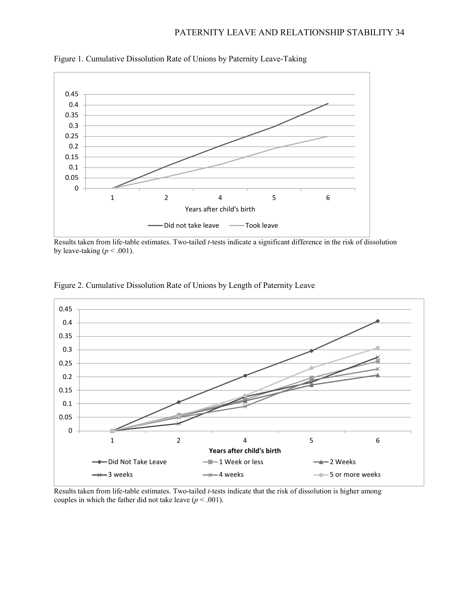

Figure 1. Cumulative Dissolution Rate of Unions by Paternity Leave-Taking

Results taken from life-table estimates. Two-tailed *t*-tests indicate a significant difference in the risk of dissolution by leave-taking  $(p < .001)$ .



Figure 2. Cumulative Dissolution Rate of Unions by Length of Paternity Leave

Results taken from life-table estimates. Two-tailed *t*-tests indicate that the risk of dissolution is higher among couples in which the father did not take leave  $(p < .001)$ .